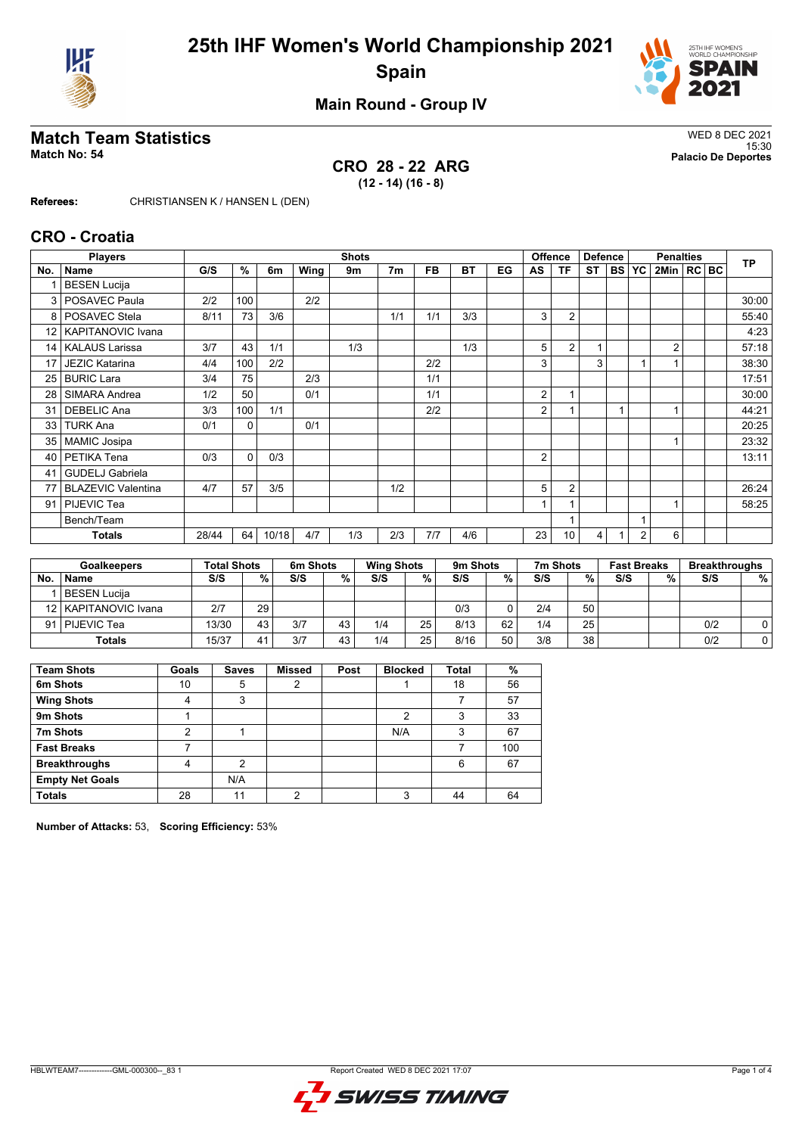



### **Main Round - Group IV**

# **Match Team Statistics** WED 8 DEC 2021

**CRO 28 - 22 ARG (12 - 14) (16 - 8)**

15:30 **Match No: 54 Palacio De Deportes**

**Referees:** CHRISTIANSEN K / HANSEN L (DEN)

### **CRO - Croatia**

|                 | <b>Players</b>            |       |              |       |      | <b>Shots</b> |                |           |           |    | <b>Offence</b> |                | <b>Defence</b> |           |                | <b>TP</b>      |  |       |
|-----------------|---------------------------|-------|--------------|-------|------|--------------|----------------|-----------|-----------|----|----------------|----------------|----------------|-----------|----------------|----------------|--|-------|
| No.             | <b>Name</b>               | G/S   | %            | 6m    | Wing | 9m           | 7 <sub>m</sub> | <b>FB</b> | <b>BT</b> | EG | AS             | TF             | <b>ST</b>      | <b>BS</b> | <b>YC</b>      | 2Min   RC BC   |  |       |
|                 | <b>BESEN Lucija</b>       |       |              |       |      |              |                |           |           |    |                |                |                |           |                |                |  |       |
| 3               | POSAVEC Paula             | 2/2   | 100          |       | 2/2  |              |                |           |           |    |                |                |                |           |                |                |  | 30:00 |
| 8               | POSAVEC Stela             | 8/11  | 73           | 3/6   |      |              | 1/1            | 1/1       | 3/3       |    | 3              | $\overline{2}$ |                |           |                |                |  | 55:40 |
| 12 <sub>1</sub> | <b>KAPITANOVIC Ivana</b>  |       |              |       |      |              |                |           |           |    |                |                |                |           |                |                |  | 4:23  |
| 14 <sup>1</sup> | <b>KALAUS Larissa</b>     | 3/7   | 43           | 1/1   |      | 1/3          |                |           | 1/3       |    | 5              | $\overline{2}$ | 1              |           |                | $\overline{2}$ |  | 57:18 |
| 17              | <b>JEZIC Katarina</b>     | 4/4   | 100          | 2/2   |      |              |                | 2/2       |           |    | 3              |                | 3              |           |                |                |  | 38:30 |
| 25              | <b>BURIC Lara</b>         | 3/4   | 75           |       | 2/3  |              |                | 1/1       |           |    |                |                |                |           |                |                |  | 17:51 |
| 28              | SIMARA Andrea             | 1/2   | 50           |       | 0/1  |              |                | 1/1       |           |    | 2              |                |                |           |                |                |  | 30:00 |
| 31              | <b>DEBELIC Ana</b>        | 3/3   | 100          | 1/1   |      |              |                | 2/2       |           |    | $\overline{2}$ |                |                |           |                |                |  | 44:21 |
| 33              | <b>TURK Ana</b>           | 0/1   | $\mathbf{0}$ |       | 0/1  |              |                |           |           |    |                |                |                |           |                |                |  | 20:25 |
| 35 <sub>1</sub> | <b>MAMIC Josipa</b>       |       |              |       |      |              |                |           |           |    |                |                |                |           |                |                |  | 23:32 |
| 40              | PETIKA Tena               | 0/3   | $\mathbf{0}$ | 0/3   |      |              |                |           |           |    | 2              |                |                |           |                |                |  | 13:11 |
| 41              | <b>GUDELJ Gabriela</b>    |       |              |       |      |              |                |           |           |    |                |                |                |           |                |                |  |       |
| 77              | <b>BLAZEVIC Valentina</b> | 4/7   | 57           | 3/5   |      |              | 1/2            |           |           |    | 5              | $\overline{2}$ |                |           |                |                |  | 26:24 |
| 91              | PIJEVIC Tea               |       |              |       |      |              |                |           |           |    | $\overline{ }$ |                |                |           |                |                |  | 58:25 |
|                 | Bench/Team                |       |              |       |      |              |                |           |           |    |                |                |                |           |                |                |  |       |
|                 | <b>Totals</b>             | 28/44 | 64           | 10/18 | 4/7  | 1/3          | 2/3            | 7/7       | 4/6       |    | 23             | 10             | 4              |           | $\overline{2}$ | 6              |  |       |
|                 |                           |       |              |       |      |              |                |           |           |    |                |                |                |           |                |                |  |       |

|                  | <b>Goalkeepers</b>     |       | <b>Total Shots</b> |     | 6m Shots |     | <b>Wing Shots</b> |      | 9 <sub>m</sub> Shots |          | 7m Shots | <b>Fast Breaks</b> |   | <b>Breakthroughs</b> |   |
|------------------|------------------------|-------|--------------------|-----|----------|-----|-------------------|------|----------------------|----------|----------|--------------------|---|----------------------|---|
| No               | <b>Name</b>            | S/S   | %                  | S/S | %        | S/S | %⊣                | S/S  | %                    | %<br>S/S |          | S/S                | % | S/S                  | % |
|                  | BESEN Lucija           |       |                    |     |          |     |                   |      |                      |          |          |                    |   |                      |   |
|                  | 12   KAPITANOVIC Ivana | 2/7   | 29                 |     |          |     |                   | 0/3  | 0                    | 2/4      | 50       |                    |   |                      |   |
| 91   PIJEVIC Tea |                        | 13/30 | 43                 | 3/7 | 43       | 1/4 | 25                | 8/13 | 62                   | 1/4      | 25       |                    |   | 0/2                  | 0 |
| <b>Totals</b>    |                        | 15/37 | 41                 | 3/7 | 43       | 1/4 | 25                | 8/16 | 50                   | 3/8      | 38       |                    |   | 0/2                  |   |

| <b>Team Shots</b>      | Goals | <b>Saves</b> | <b>Missed</b> | Post | <b>Blocked</b> | <b>Total</b> | %   |
|------------------------|-------|--------------|---------------|------|----------------|--------------|-----|
| 6m Shots               | 10    | 5            | 2             |      |                | 18           | 56  |
| <b>Wing Shots</b>      | 4     | 3            |               |      |                |              | 57  |
| 9m Shots               |       |              |               |      | 2              | 3            | 33  |
| 7m Shots               | 2     |              |               |      | N/A            | 3            | 67  |
| <b>Fast Breaks</b>     |       |              |               |      |                |              | 100 |
| <b>Breakthroughs</b>   | 4     | 2            |               |      |                | 6            | 67  |
| <b>Empty Net Goals</b> |       | N/A          |               |      |                |              |     |
| <b>Totals</b>          | 28    | 11           | c             |      | ົ              | 44           | 64  |

**Number of Attacks:** 53, **Scoring Efficiency:** 53%

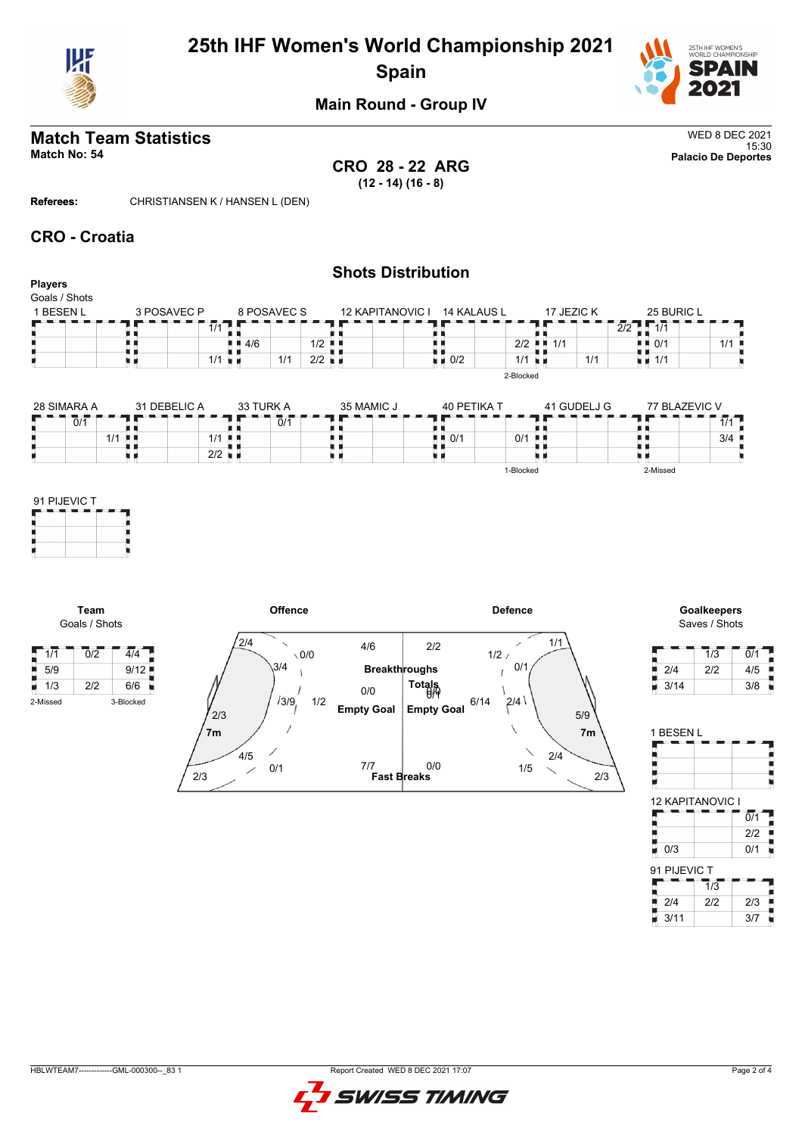

# **25th IHF Women's World Championship 2021 Spain**



### **Main Round - Group IV**

# **Match Team Statistics** WED 8 DEC 2021

15:30 **Match No: 54 Palacio De Deportes CRO 28 - 22 ARG (12 - 14) (16 - 8)**

**Referees:** CHRISTIANSEN K / HANSEN L (DEN)

### **CRO - Croatia**

| <b>Players</b><br>Goals / Shots |              |                      |             |                         | <b>Shots Distribution</b>         |                      |             |                      |                                   |     |
|---------------------------------|--------------|----------------------|-------------|-------------------------|-----------------------------------|----------------------|-------------|----------------------|-----------------------------------|-----|
| 1 BESEN L                       | 3 POSAVEC P  |                      | 8 POSAVEC S | <b>12 KAPITANOVIC I</b> | <b>14 KALAUS L</b>                |                      | 17 JEZIC K  |                      | 25 BURIC L                        |     |
|                                 |              | 1/1                  |             |                         |                                   |                      |             | $2/2$ $\sqrt{2}$ 1/1 |                                   |     |
|                                 |              |                      | 4/6         | 1/2<br>л. н             |                                   | $2/2$ $\blacksquare$ | 1/1         |                      | $\blacksquare$ $\blacksquare$ 0/1 | 1/1 |
|                                 |              | 1/1<br>. H           | 1/1         | $2/2$ $\blacksquare$    | $\blacksquare$ 0/2                | $1/1$ $\blacksquare$ |             | 1/1                  | $\blacksquare$ 1/1                |     |
| 28 SIMARA A                     | 31 DEBELIC A |                      | 33 TURK A   | 35 MAMIC J              | 40 PETIKA T                       | 2-Blocked            | 41 GUDELJ G |                      | 77 BLAZEVIC V                     |     |
| 0/1                             |              |                      | 0/1         |                         |                                   |                      |             |                      |                                   | 1/1 |
|                                 | 1/1<br>. .   | $1/1$ .              |             |                         | $\blacksquare$ $\blacksquare$ 0/1 | 0/1                  | . .         |                      |                                   | 3/4 |
|                                 |              | $2/2$ $\blacksquare$ |             |                         |                                   |                      |             |                      |                                   |     |

1-Blocked

| 91 PIJEVIC T |  |  |  |  |  |  |  |  |  |  |  |
|--------------|--|--|--|--|--|--|--|--|--|--|--|
|              |  |  |  |  |  |  |  |  |  |  |  |
|              |  |  |  |  |  |  |  |  |  |  |  |
|              |  |  |  |  |  |  |  |  |  |  |  |

**Team**

 $\frac{1}{2}$  5/9



| <b>Goalkeepers</b> |
|--------------------|
| Saves / Shots      |

2-Missed

|      | 1/3 | 0/1 |
|------|-----|-----|
| 2/4  | 2/2 | 4/5 |
| 3/14 |     | 3/8 |

| <b>12 KAPITANOVIC I</b> |
|-------------------------|
| $\overline{0/1}$        |
| 2/2                     |
| 0/1                     |
|                         |

| 91 PIJEVIC T |     |     |  |  |  |  |  |  |  |  |  |
|--------------|-----|-----|--|--|--|--|--|--|--|--|--|
|              | 1/3 |     |  |  |  |  |  |  |  |  |  |
| 2/4          | 212 | 2/3 |  |  |  |  |  |  |  |  |  |
| 3/11         |     | 3/7 |  |  |  |  |  |  |  |  |  |

| 1/1 | ก/ว | 414  |
|-----|-----|------|
| 5/9 |     | 9/12 |
| 1/3 | 2/2 | 6/6  |

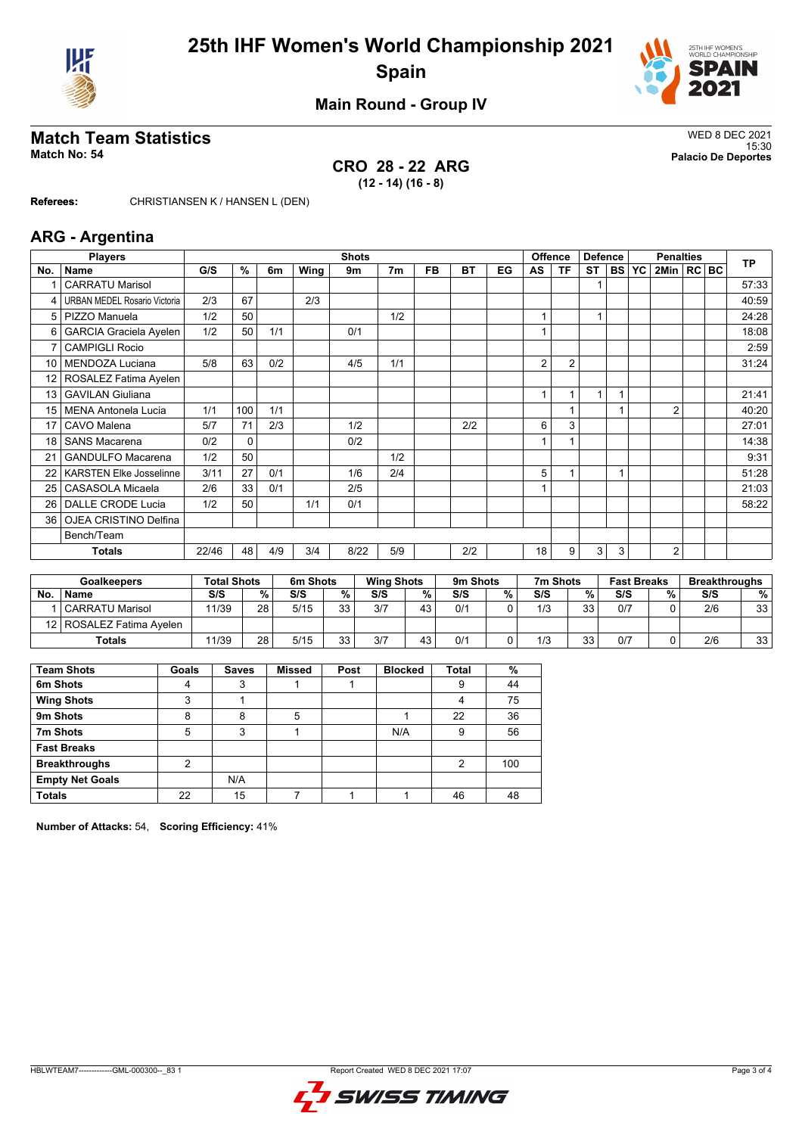



### **Main Round - Group IV**

# **Match Team Statistics**<br>Match No: 54<br>Palacio De Deportes

**CRO 28 - 22 ARG (12 - 14) (16 - 8)**

15:30 **Match No: 54 Palacio De Deportes**

**Referees:** CHRISTIANSEN K / HANSEN L (DEN)

### **ARG - Argentina**

|     | <b>Players</b>                      |       | <b>Shots</b> |     |      |      |                |           |     |    |    |                | <b>Offence</b><br><b>Defence</b> |   |       | <b>TP</b>      |  |       |
|-----|-------------------------------------|-------|--------------|-----|------|------|----------------|-----------|-----|----|----|----------------|----------------------------------|---|-------|----------------|--|-------|
| No. | Name                                | G/S   | %            | 6m  | Wing | 9m   | 7 <sub>m</sub> | <b>FB</b> | BT  | EG | AS | TF             | ST                               |   | BS YC | 2Min   RC BC   |  |       |
|     | <b>CARRATU Marisol</b>              |       |              |     |      |      |                |           |     |    |    |                |                                  |   |       |                |  | 57:33 |
| 4   | <b>URBAN MEDEL Rosario Victoria</b> | 2/3   | 67           |     | 2/3  |      |                |           |     |    |    |                |                                  |   |       |                |  | 40:59 |
| 5   | PIZZO Manuela                       | 1/2   | 50           |     |      |      | 1/2            |           |     |    | 1  |                | 1                                |   |       |                |  | 24:28 |
| 6   | <b>GARCIA Graciela Ayelen</b>       | 1/2   | 50           | 1/1 |      | 0/1  |                |           |     |    |    |                |                                  |   |       |                |  | 18:08 |
| 7   | <b>CAMPIGLI Rocio</b>               |       |              |     |      |      |                |           |     |    |    |                |                                  |   |       |                |  | 2:59  |
| 10  | MENDOZA Luciana                     | 5/8   | 63           | 0/2 |      | 4/5  | 1/1            |           |     |    | 2  | $\overline{2}$ |                                  |   |       |                |  | 31:24 |
| 12  | ROSALEZ Fatima Ayelen               |       |              |     |      |      |                |           |     |    |    |                |                                  |   |       |                |  |       |
| 13  | <b>GAVILAN Giuliana</b>             |       |              |     |      |      |                |           |     |    | 1  |                | 1                                |   |       |                |  | 21:41 |
| 15  | <b>MENA Antonela Lucia</b>          | 1/1   | 100          | 1/1 |      |      |                |           |     |    |    | 1              |                                  |   |       | $\overline{2}$ |  | 40:20 |
| 17  | CAVO Malena                         | 5/7   | 71           | 2/3 |      | 1/2  |                |           | 2/2 |    | 6  | 3              |                                  |   |       |                |  | 27:01 |
| 18  | <b>SANS Macarena</b>                | 0/2   | $\Omega$     |     |      | 0/2  |                |           |     |    |    |                |                                  |   |       |                |  | 14:38 |
| 21  | <b>GANDULFO Macarena</b>            | 1/2   | 50           |     |      |      | 1/2            |           |     |    |    |                |                                  |   |       |                |  | 9:31  |
| 22  | <b>KARSTEN Elke Josselinne</b>      | 3/11  | 27           | 0/1 |      | 1/6  | 2/4            |           |     |    | 5  |                |                                  |   |       |                |  | 51:28 |
| 25  | CASASOLA Micaela                    | 2/6   | 33           | 0/1 |      | 2/5  |                |           |     |    |    |                |                                  |   |       |                |  | 21:03 |
| 26  | DALLE CRODE Lucia                   | 1/2   | 50           |     | 1/1  | 0/1  |                |           |     |    |    |                |                                  |   |       |                |  | 58:22 |
| 36  | OJEA CRISTINO Delfina               |       |              |     |      |      |                |           |     |    |    |                |                                  |   |       |                |  |       |
|     | Bench/Team                          |       |              |     |      |      |                |           |     |    |    |                |                                  |   |       |                |  |       |
|     | Totals                              | 22/46 | 48           | 4/9 | 3/4  | 8/22 | 5/9            |           | 2/2 |    | 18 | 9              | 3                                | 3 |       | $\overline{2}$ |  |       |

|               | <b>Goalkeepers</b>         |       | <b>Total Shots</b> | 6m Shots |           | <b>Wing Shots</b> |    | 9m Shots |   | 7m Shots |    | <b>Fast Breaks</b> |   | <b>Breakthroughs</b> |    |  |
|---------------|----------------------------|-------|--------------------|----------|-----------|-------------------|----|----------|---|----------|----|--------------------|---|----------------------|----|--|
| <b>No</b>     | <b>Name</b>                | S/S   | %                  | S/S      | %         | S/S               | %  | S/S      | % | S/S      |    | %<br>S/S           | % | S/S                  | %  |  |
|               | <b>CARRATU Marisol</b>     | 11/39 | 28                 | 5/15     | 33.<br>ບປ | 3/7               | 43 | 0/1      |   | 1/3      | 33 | 0/7                |   | 2/6                  | 33 |  |
|               | 12   ROSALEZ Fatima Avelen |       |                    |          |           |                   |    |          |   |          |    |                    |   |                      |    |  |
| <b>Totals</b> |                            | 11/39 | 28                 | 5/15     | 33<br>ບປ  | 3/7               | 43 | 0/1      |   | 1/3      | 33 | 0/7                |   | 2/6                  | 33 |  |

| <b>Team Shots</b>      | Goals          | <b>Saves</b> | <b>Missed</b> | Post | <b>Blocked</b> | <b>Total</b>   | %   |
|------------------------|----------------|--------------|---------------|------|----------------|----------------|-----|
| 6m Shots               | 4              | 3            |               |      |                | 9              | 44  |
| <b>Wing Shots</b>      | 3              |              |               |      |                | 4              | 75  |
| 9m Shots               | 8              | 8            | 5             |      |                | 22             | 36  |
| 7m Shots               | 5              | 3            |               |      | N/A            | 9              | 56  |
| <b>Fast Breaks</b>     |                |              |               |      |                |                |     |
| <b>Breakthroughs</b>   | $\overline{2}$ |              |               |      |                | $\overline{2}$ | 100 |
| <b>Empty Net Goals</b> |                | N/A          |               |      |                |                |     |
| <b>Totals</b>          | 22             | 15           |               |      |                | 46             | 48  |

**Number of Attacks:** 54, **Scoring Efficiency:** 41%